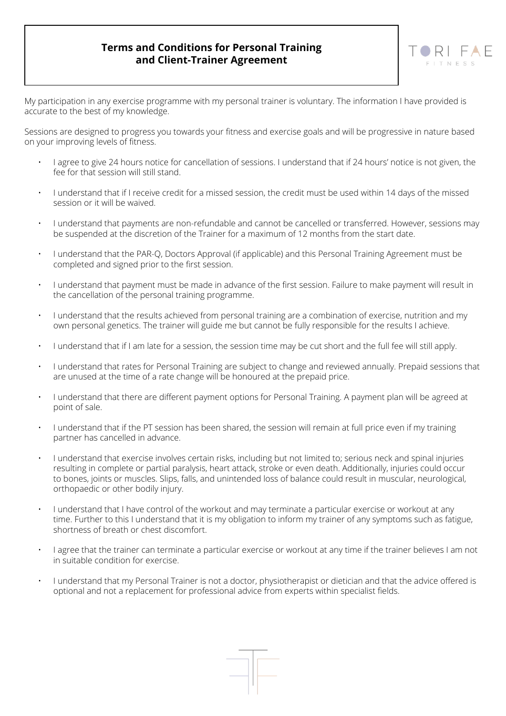## **Terms and Conditions for Personal Training and Client-Trainer Agreement**



My participation in any exercise programme with my personal trainer is voluntary. The information I have provided is accurate to the best of my knowledge.

Sessions are designed to progress you towards your fitness and exercise goals and will be progressive in nature based on your improving levels of fitness.

- I agree to give 24 hours notice for cancellation of sessions. I understand that if 24 hours' notice is not given, the fee for that session will still stand.
- I understand that if I receive credit for a missed session, the credit must be used within 14 days of the missed session or it will be waived.
- I understand that payments are non-refundable and cannot be cancelled or transferred. However, sessions may be suspended at the discretion of the Trainer for a maximum of 12 months from the start date.
- I understand that the PAR-Q, Doctors Approval (if applicable) and this Personal Training Agreement must be completed and signed prior to the first session.
- I understand that payment must be made in advance of the first session. Failure to make payment will result in the cancellation of the personal training programme.
- I understand that the results achieved from personal training are a combination of exercise, nutrition and my own personal genetics. The trainer will guide me but cannot be fully responsible for the results I achieve.
- I understand that if I am late for a session, the session time may be cut short and the full fee will still apply.
- I understand that rates for Personal Training are subject to change and reviewed annually. Prepaid sessions that are unused at the time of a rate change will be honoured at the prepaid price.
- I understand that there are different payment options for Personal Training. A payment plan will be agreed at point of sale.
- I understand that if the PT session has been shared, the session will remain at full price even if my training partner has cancelled in advance.
- I understand that exercise involves certain risks, including but not limited to; serious neck and spinal injuries resulting in complete or partial paralysis, heart attack, stroke or even death. Additionally, injuries could occur to bones, joints or muscles. Slips, falls, and unintended loss of balance could result in muscular, neurological, orthopaedic or other bodily injury.
- I understand that I have control of the workout and may terminate a particular exercise or workout at any time. Further to this I understand that it is my obligation to inform my trainer of any symptoms such as fatigue, shortness of breath or chest discomfort.
- I agree that the trainer can terminate a particular exercise or workout at any time if the trainer believes I am not in suitable condition for exercise.
- I understand that my Personal Trainer is not a doctor, physiotherapist or dietician and that the advice offered is optional and not a replacement for professional advice from experts within specialist fields.